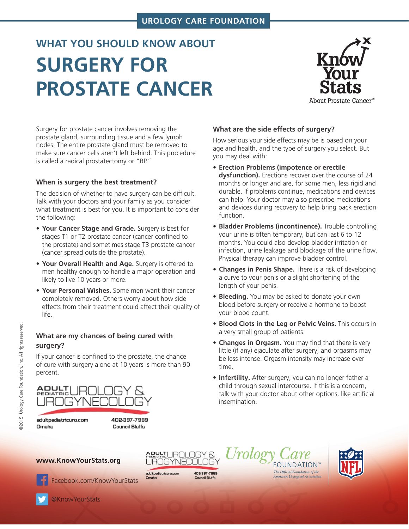# **UROLOGY CARE FOUNDATION**

# **WHAT YOU SHOULD KNOW ABOUT SURGERY FOR PROSTATE CANCER**



Surgery for prostate cancer involves removing the prostate gland, surrounding tissue and a few lymph nodes. The entire prostate gland must be removed to make sure cancer cells aren't left behind. This procedure is called a radical prostatectomy or "RP."

### **When is surgery the best treatment?**

The decision of whether to have surgery can be difficult. Talk with your doctors and your family as you consider what treatment is best for you. It is important to consider the following:

- **Your Cancer Stage and Grade.** Surgery is best for stages T1 or T2 prostate cancer (cancer confined to the prostate) and sometimes stage T3 prostate cancer (cancer spread outside the prostate).
- **Your Overall Health and Age.** Surgery is offered to men healthy enough to handle a major operation and likely to live 10 years or more.
- **Your Personal Wishes.** Some men want their cancer completely removed. Others worry about how side effects from their treatment could affect their quality of life.

## **What are my chances of being cured with surgery?**

If your cancer is confined to the prostate, the chance of cure with surgery alone at 10 years is more than 90 percent.



## **What are the side effects of surgery?**

How serious your side effects may be is based on your age and health, and the type of surgery you select. But you may deal with:

- **Erection Problems (impotence or erectile dysfunction).** Erections recover over the course of 24 months or longer and are, for some men, less rigid and durable. If problems continue, medications and devices can help. Your doctor may also prescribe medications and devices during recovery to help bring back erection function.
- **Bladder Problems (incontinence).** Trouble controlling your urine is often temporary, but can last 6 to 12 months. You could also develop bladder irritation or infection, urine leakage and blockage of the urine flow. Physical therapy can improve bladder control.
- **Changes in Penis Shape.** There is a risk of developing a curve to your penis or a slight shortening of the length of your penis.
- **Bleeding.** You may be asked to donate your own blood before surgery or receive a hormone to boost your blood count.
- **Blood Clots in the Leg or Pelvic Veins.** This occurs in a very small group of patients.
- **Changes in Orgasm.** You may find that there is very little (if any) ejaculate after surgery, and orgasms may be less intense. Orgasm intensity may increase over time.
- **Infertility.** After surgery, you can no longer father a child through sexual intercourse. If this is a concern, talk with your doctor about other options, like artificial insemination.

**www.KnowYourStats.org**

**ABHALLUROLOGY &** UROGYNECOLOGY

adultpediatricuro.com Omaha

408397-7989

**Council Bluffs** 

Urolog **FOUNDATION™** The Official Foundation of the<br>American Urological Association



[Facebook.com/KnowYourStats](http://www.facebook.com/KnowYourStats )

[@KnowYourStats](http://www.twitter.com/KnowYourStats)